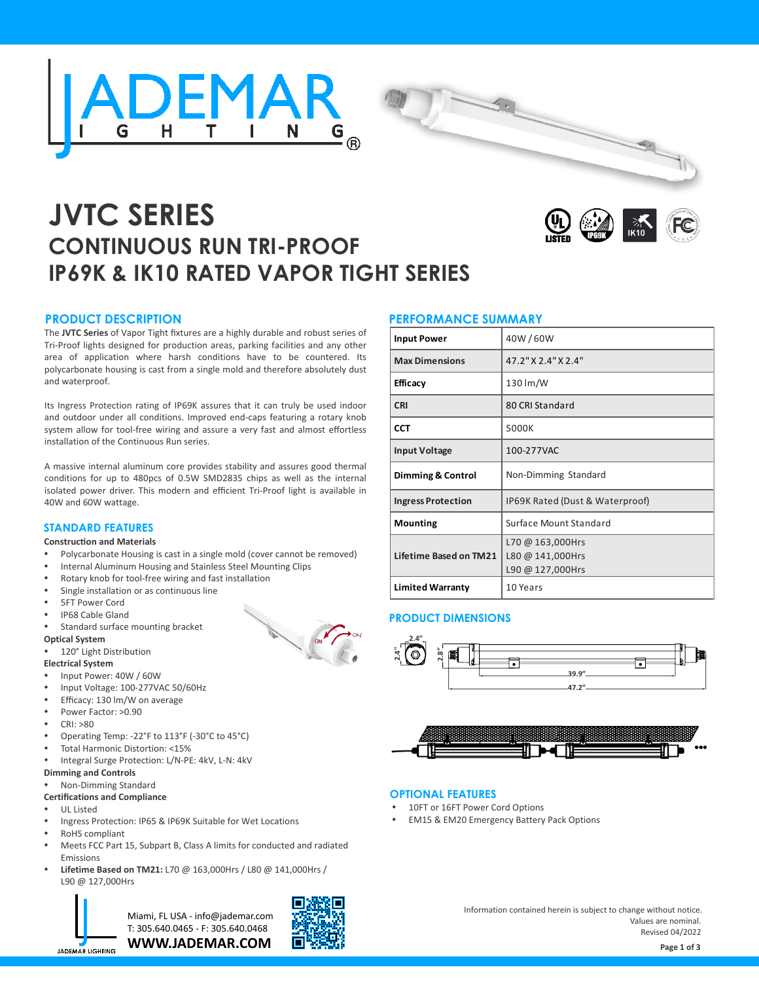



# **JVTC SERIES CONTINUOUS RUN TRI-PROOF IP69K & IK10 RATED VAPOR TIGHT SERIES**



## **PRODUCT DESCRIPTION**

The **JVTC Series** of Vapor Tight fixtures are a highly durable and robust series of Tri-Proof lights designed for production areas, parking facilities and any other area of application where harsh conditions have to be countered. Its polycarbonate housing is cast from a single mold and therefore absolutely dust and waterproof.

Its Ingress Protection rating of IP69K assures that it can truly be used indoor and outdoor under all conditions. Improved end-caps featuring a rotary knob system allow for tool-free wiring and assure a very fast and almost effortless installation of the Continuous Run series.

A massive internal aluminum core provides stability and assures good thermal conditions for up to 480pcs of 0.5W SMD2835 chips as well as the internal isolated power driver. This modern and efficient Tri-Proof light is available in 40W and 60W wattage.

## **STANDARD FEATURES**

#### **Construction and Materials**

- Polycarbonate Housing is cast in a single mold (cover cannot be removed)
- Internal Aluminum Housing and Stainless Steel Mounting Clips
- Rotary knob for tool-free wiring and fast installation
- Single installation or as continuous line
- 5FT Power Cord
- IP68 Cable Gland
- Standard surface mounting bracket

### **Optical System**

### 120° Light Distribution

**Electrical System**

- Input Power: 40W / 60W
- Input Voltage: 100-277VAC 50/60Hz
- Efficacy: 130 lm/W on average
- Power Factor: >0.90
- $CRI: >80$
- Operating Temp: -22°F to 113°F (-30°C to 45°C)
- Total Harmonic Distortion: <15%
- Integral Surge Protection: L/N-PE: 4kV, L-N: 4kV

## **Dimming and Controls**

## Non-Dimming Standard

## **Certifications and Compliance**

- UL Listed
- Ingress Protection: IP65 & IP69K Suitable for Wet Locations
- RoHS compliant
- Meets FCC Part 15, Subpart B, Class A limits for conducted and radiated Emissions
- Ÿ **Lifetime Based on TM21:** L70 @ 163,000Hrs / L80 @ 141,000Hrs / L90 @ 127,000Hrs



**WWW.JADEMAR.COM** Miami, FL USA - info@jademar.com T: 305.640.0465 - F: 305.640.0468



## **PERFORMANCE SUMMARY**

| <b>Input Power</b>           | 40W/60W                                                  |
|------------------------------|----------------------------------------------------------|
| <b>Max Dimensions</b>        | 47.2" X 2.4" X 2.4"                                      |
| <b>Efficacy</b>              | 130 lm/W                                                 |
| <b>CRI</b>                   | 80 CRI Standard                                          |
| <b>CCT</b>                   | 5000K                                                    |
| <b>Input Voltage</b>         | 100-277VAC                                               |
| <b>Dimming &amp; Control</b> | Non-Dimming Standard                                     |
|                              |                                                          |
| <b>Ingress Protection</b>    | IP69K Rated (Dust & Waterproof)                          |
| <b>Mounting</b>              | Surface Mount Standard                                   |
| Lifetime Based on TM21       | L70 @ 163,000Hrs<br>L80 @ 141,000Hrs<br>L90 @ 127,000Hrs |

## **PRODUCT DIMENSIONS**





## **OPTIONAL FEATURES**

- 10FT or 16FT Power Cord Options
- EM15 & EM20 Emergency Battery Pack Options

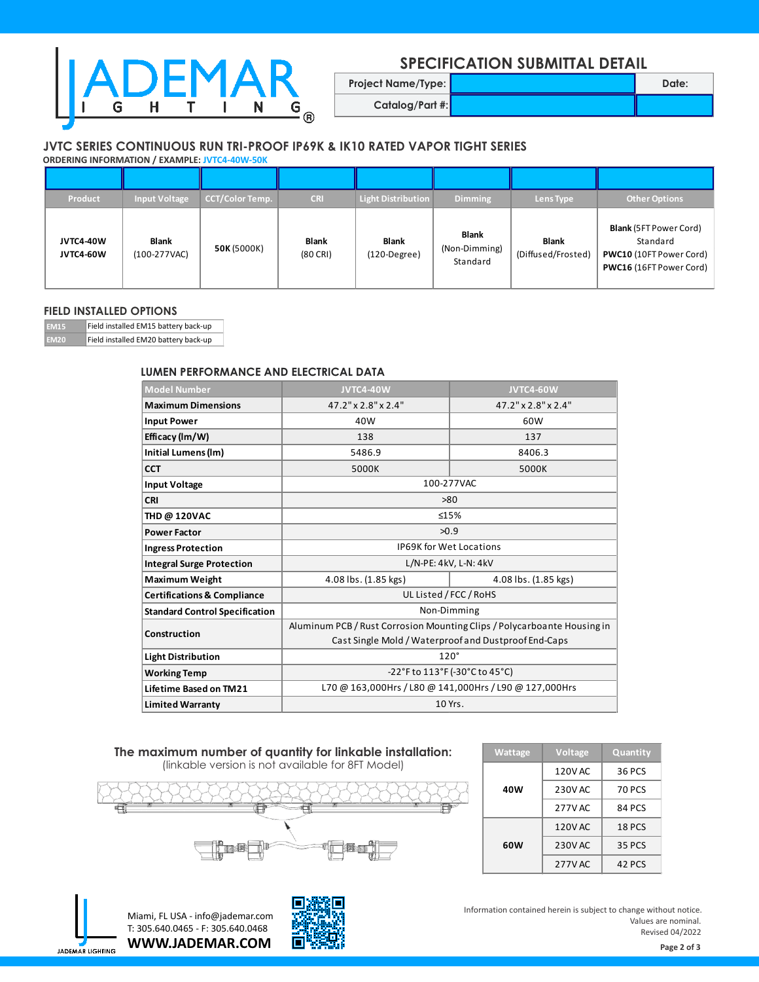

## **SPECIFICATION SUBMITTAL DETAIL**

**Catalog/Part #:**

**Project Name/Type: Date: Date: Date: Date: Date:** 

## **JVTC SERIES CONTINUOUS RUN TRI-PROOF IP69K & IK10 RATED VAPOR TIGHT SERIES**

**ORDERING INFORMATION / EXAMPLE: JVTC4-40W-50K**

| Product                       | <b>Input Voltage</b>         | CCT/Color Temp. | <b>CRI</b>                         | <b>Light Distribution</b>      | <b>Dimming</b>                            | Lens Type                          | Other Options                                                                                          |
|-------------------------------|------------------------------|-----------------|------------------------------------|--------------------------------|-------------------------------------------|------------------------------------|--------------------------------------------------------------------------------------------------------|
| <b>JVTC4-40W</b><br>JVTC4-60W | <b>Blank</b><br>(100-277VAC) | 50K (5000K)     | <b>Blank</b><br>$(80 \text{ CRI})$ | <b>Blank</b><br>$(120-Degree)$ | <b>Blank</b><br>(Non-Dimming)<br>Standard | <b>Blank</b><br>(Diffused/Frosted) | <b>Blank</b> (5FT Power Cord)<br>Standard<br><b>PWC10</b> (10FT Power Cord)<br>PWC16 (16FT Power Cord) |

## **FIELD INSTALLED OPTIONS**

**EM15** Field installed EM15 battery back-up **Field installed EM20 battery back-up** 

## **LUMEN PERFORMANCE AND ELECTRICAL DATA**

| <b>Model Number</b>                    | <b>JVTC4-40W</b>                                                        | JVTC4-60W            |  |  |
|----------------------------------------|-------------------------------------------------------------------------|----------------------|--|--|
| <b>Maximum Dimensions</b>              | 47.2" x 2.8" x 2.4"                                                     | 47.2" x 2.8" x 2.4"  |  |  |
| <b>Input Power</b>                     | 40W                                                                     | 60W                  |  |  |
| Efficacy (Im/W)                        | 138                                                                     | 137                  |  |  |
| Initial Lumens (Im)                    | 5486.9                                                                  | 8406.3               |  |  |
| <b>CCT</b>                             | 5000K                                                                   | 5000K                |  |  |
| <b>Input Voltage</b>                   | 100-277VAC                                                              |                      |  |  |
| <b>CRI</b>                             | >80                                                                     |                      |  |  |
| <b>THD @ 120VAC</b>                    | ≤15%                                                                    |                      |  |  |
| <b>Power Factor</b>                    | >0.9                                                                    |                      |  |  |
| <b>Ingress Protection</b>              | <b>IP69K for Wet Locations</b>                                          |                      |  |  |
| <b>Integral Surge Protection</b>       | L/N-PE: 4kV, L-N: 4kV                                                   |                      |  |  |
| <b>Maximum Weight</b>                  | 4.08 lbs. (1.85 kgs)                                                    | 4.08 lbs. (1.85 kgs) |  |  |
| <b>Certifications &amp; Compliance</b> | UL Listed / FCC / RoHS                                                  |                      |  |  |
| <b>Standard Control Specification</b>  | Non-Dimming                                                             |                      |  |  |
| Construction                           | Aluminum PCB / Rust Corrosion Mounting Clips / Polycarboante Housing in |                      |  |  |
|                                        | Cast Single Mold / Waterproof and Dustproof End-Caps                    |                      |  |  |
| <b>Light Distribution</b>              | $120^\circ$                                                             |                      |  |  |
| <b>Working Temp</b>                    | -22°F to 113°F (-30°C to 45°C)                                          |                      |  |  |
| Lifetime Based on TM21                 | L70 @ 163,000Hrs / L80 @ 141,000Hrs / L90 @ 127,000Hrs                  |                      |  |  |
| <b>Limited Warranty</b>                | 10 Yrs.                                                                 |                      |  |  |

## **The maximum number of quantity for linkable installation:** (linkable version is not available for 8FT Model)



| Wattage | Voltage        | Quantity      |
|---------|----------------|---------------|
| 40W     | 120V AC        | 36 PCS        |
|         | 230V AC        | <b>70 PCS</b> |
|         | 277V AC        | 84 PCS        |
| 60W     | <b>120V AC</b> | <b>18 PCS</b> |
|         | 230V AC        | 35 PCS        |
|         | 277V AC        | 42 PCS        |



**WWW.JADEMAR.COM** Miami, FL USA - info@jademar.com T: 305.640.0465 - F: 305.640.0468



Information contained herein is subject to change without notice. Values are nominal. Revised 04/2022